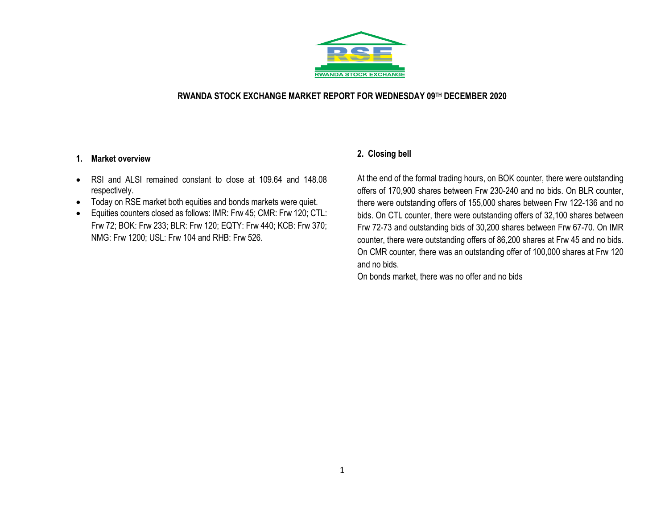

## **RWANDA STOCK EXCHANGE MARKET REPORT FOR WEDNESDAY 09TH DECEMBER 2020**

## **1. Market overview**

- RSI and ALSI remained constant to close at 109.64 and 148.08 respectively.
- Today on RSE market both equities and bonds markets were quiet.
- Equities counters closed as follows: IMR: Frw 45; CMR: Frw 120; CTL: Frw 72; BOK: Frw 233; BLR: Frw 120; EQTY: Frw 440; KCB: Frw 370; NMG: Frw 1200; USL: Frw 104 and RHB: Frw 526.

# **2. Closing bell**

At the end of the formal trading hours, on BOK counter, there were outstanding offers of 170,900 shares between Frw 230-240 and no bids. On BLR counter, there were outstanding offers of 155,000 shares between Frw 122-136 and no bids. On CTL counter, there were outstanding offers of 32,100 shares between Frw 72-73 and outstanding bids of 30,200 shares between Frw 67-70. On IMR counter, there were outstanding offers of 86,200 shares at Frw 45 and no bids. On CMR counter, there was an outstanding offer of 100,000 shares at Frw 120 and no bids.

On bonds market, there was no offer and no bids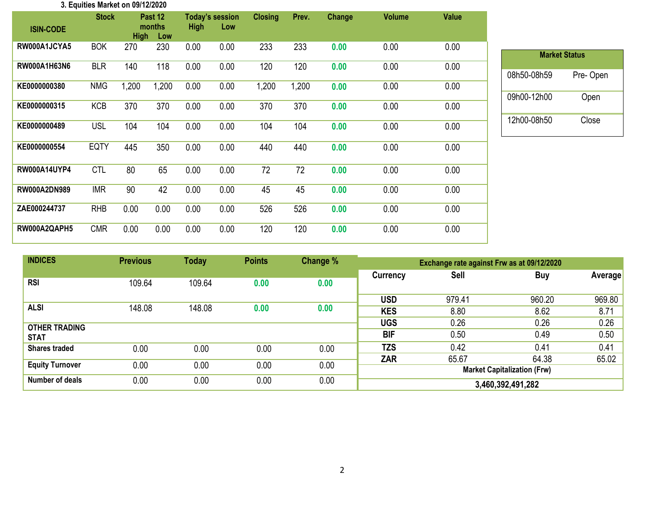| 3. Equities Market on 09/12/2020 |              |             |                          |             |                               |                |       |               |               |              |
|----------------------------------|--------------|-------------|--------------------------|-------------|-------------------------------|----------------|-------|---------------|---------------|--------------|
| <b>ISIN-CODE</b>                 | <b>Stock</b> | <b>High</b> | Past 12<br>months<br>Low | <b>High</b> | <b>Today's session</b><br>Low | <b>Closing</b> | Prev. | <b>Change</b> | <b>Volume</b> | <b>Value</b> |
| RW000A1JCYA5                     | <b>BOK</b>   | 270         | 230                      | 0.00        | 0.00                          | 233            | 233   | 0.00          | 0.00          | 0.00         |
| RW000A1H63N6                     | <b>BLR</b>   | 140         | 118                      | 0.00        | 0.00                          | 120            | 120   | 0.00          | 0.00          | 0.00         |
| KE0000000380                     | <b>NMG</b>   | 1,200       | 1,200                    | 0.00        | 0.00                          | 1,200          | 1,200 | 0.00          | 0.00          | 0.00         |
| KE0000000315                     | <b>KCB</b>   | 370         | 370                      | 0.00        | 0.00                          | 370            | 370   | 0.00          | 0.00          | 0.00         |
| KE0000000489                     | USL          | 104         | 104                      | 0.00        | 0.00                          | 104            | 104   | 0.00          | 0.00          | 0.00         |
| KE0000000554                     | <b>EQTY</b>  | 445         | 350                      | 0.00        | 0.00                          | 440            | 440   | 0.00          | 0.00          | 0.00         |
| <b>RW000A14UYP4</b>              | <b>CTL</b>   | 80          | 65                       | 0.00        | 0.00                          | 72             | 72    | 0.00          | 0.00          | 0.00         |
| RW000A2DN989                     | <b>IMR</b>   | 90          | 42                       | 0.00        | 0.00                          | 45             | 45    | 0.00          | 0.00          | 0.00         |
| ZAE000244737                     | <b>RHB</b>   | 0.00        | 0.00                     | 0.00        | 0.00                          | 526            | 526   | 0.00          | 0.00          | 0.00         |
| RW000A2QAPH5                     | <b>CMR</b>   | 0.00        | 0.00                     | 0.00        | 0.00                          | 120            | 120   | 0.00          | 0.00          | 0.00         |

| <b>Market Status</b> |          |  |  |  |  |  |  |  |  |
|----------------------|----------|--|--|--|--|--|--|--|--|
| 08h50-08h59          | Pre-Open |  |  |  |  |  |  |  |  |
| 09h00-12h00          | Open     |  |  |  |  |  |  |  |  |
| 12h00-08h50          | Close    |  |  |  |  |  |  |  |  |

| <b>INDICES</b>         | <b>Previous</b> | <b>Today</b> | <b>Points</b> | Change % | Exchange rate against Frw as at 09/12/2020 |             |                                    |          |  |
|------------------------|-----------------|--------------|---------------|----------|--------------------------------------------|-------------|------------------------------------|----------|--|
| <b>RSI</b>             |                 |              |               |          | Currency                                   | <b>Sell</b> | <b>Buy</b>                         | Averagel |  |
|                        | 109.64          | 109.64       | 0.00          | 0.00     |                                            |             |                                    |          |  |
|                        |                 |              |               |          | <b>USD</b>                                 | 979.41      | 960.20                             | 969.80   |  |
| <b>ALSI</b>            | 148.08          | 148.08       | 0.00          | 0.00     | <b>KES</b>                                 | 8.80        | 8.62                               | 8.71     |  |
| <b>OTHER TRADING</b>   |                 |              |               |          | <b>UGS</b>                                 | 0.26        | 0.26                               | 0.26     |  |
| <b>STAT</b>            |                 |              |               |          | <b>BIF</b>                                 | 0.50        | 0.49                               | 0.50     |  |
| <b>Shares traded</b>   | 0.00            | 0.00         | 0.00          | 0.00     | <b>TZS</b>                                 | 0.42        | 0.41                               | 0.41     |  |
|                        |                 |              |               |          | <b>ZAR</b>                                 | 65.67       | 64.38                              | 65.02    |  |
| <b>Equity Turnover</b> | 0.00            | 0.00         | 0.00          | 0.00     |                                            |             | <b>Market Capitalization (Frw)</b> |          |  |
| Number of deals        | 0.00            | 0.00         | 0.00          | 0.00     | 3,460,392,491,282                          |             |                                    |          |  |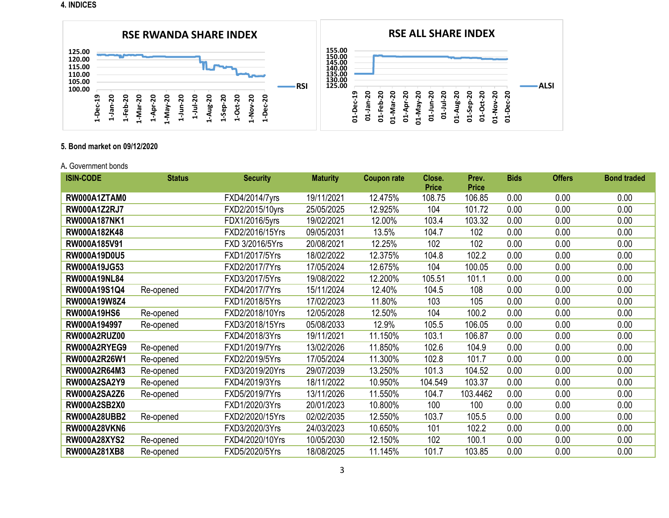**4. INDICES**



## **5. Bond market on 09/12/2020**

#### A**.** Government bonds

| <b>ISIN-CODE</b>    | <b>Status</b> | <b>Security</b> | <b>Maturity</b> | <b>Coupon rate</b> | Close.       | Prev.        | <b>Bids</b> | <b>Offers</b> | <b>Bond traded</b> |
|---------------------|---------------|-----------------|-----------------|--------------------|--------------|--------------|-------------|---------------|--------------------|
|                     |               |                 |                 |                    | <b>Price</b> | <b>Price</b> |             |               |                    |
| RW000A1ZTAM0        |               | FXD4/2014/7yrs  | 19/11/2021      | 12.475%            | 108.75       | 106.85       | 0.00        | 0.00          | 0.00               |
| <b>RW000A1Z2RJ7</b> |               | FXD2/2015/10yrs | 25/05/2025      | 12.925%            | 104          | 101.72       | 0.00        | 0.00          | 0.00               |
| RW000A187NK1        |               | FDX1/2016/5yrs  | 19/02/2021      | 12.00%             | 103.4        | 103.32       | 0.00        | 0.00          | 0.00               |
| RW000A182K48        |               | FXD2/2016/15Yrs | 09/05/2031      | 13.5%              | 104.7        | 102          | 0.00        | 0.00          | 0.00               |
| RW000A185V91        |               | FXD 3/2016/5Yrs | 20/08/2021      | 12.25%             | 102          | 102          | 0.00        | 0.00          | 0.00               |
| RW000A19D0U5        |               | FXD1/2017/5Yrs  | 18/02/2022      | 12.375%            | 104.8        | 102.2        | 0.00        | 0.00          | 0.00               |
| RW000A19JG53        |               | FXD2/2017/7Yrs  | 17/05/2024      | 12.675%            | 104          | 100.05       | 0.00        | 0.00          | 0.00               |
| <b>RW000A19NL84</b> |               | FXD3/2017/5Yrs  | 19/08/2022      | 12.200%            | 105.51       | 101.1        | 0.00        | 0.00          | 0.00               |
| RW000A19S1Q4        | Re-opened     | FXD4/2017/7Yrs  | 15/11/2024      | 12.40%             | 104.5        | 108          | 0.00        | 0.00          | 0.00               |
| RW000A19W8Z4        |               | FXD1/2018/5Yrs  | 17/02/2023      | 11.80%             | 103          | 105          | 0.00        | 0.00          | 0.00               |
| <b>RW000A19HS6</b>  | Re-opened     | FXD2/2018/10Yrs | 12/05/2028      | 12.50%             | 104          | 100.2        | 0.00        | 0.00          | 0.00               |
| RW000A194997        | Re-opened     | FXD3/2018/15Yrs | 05/08/2033      | 12.9%              | 105.5        | 106.05       | 0.00        | 0.00          | 0.00               |
| <b>RW000A2RUZ00</b> |               | FXD4/2018/3Yrs  | 19/11/2021      | 11.150%            | 103.1        | 106.87       | 0.00        | 0.00          | 0.00               |
| RW000A2RYEG9        | Re-opened     | FXD1/2019/7Yrs  | 13/02/2026      | 11.850%            | 102.6        | 104.9        | 0.00        | 0.00          | 0.00               |
| RW000A2R26W1        | Re-opened     | FXD2/2019/5Yrs  | 17/05/2024      | 11.300%            | 102.8        | 101.7        | 0.00        | 0.00          | 0.00               |
| RW000A2R64M3        | Re-opened     | FXD3/2019/20Yrs | 29/07/2039      | 13.250%            | 101.3        | 104.52       | 0.00        | 0.00          | 0.00               |
| <b>RW000A2SA2Y9</b> | Re-opened     | FXD4/2019/3Yrs  | 18/11/2022      | 10.950%            | 104.549      | 103.37       | 0.00        | 0.00          | 0.00               |
| <b>RW000A2SA2Z6</b> | Re-opened     | FXD5/2019/7Yrs  | 13/11/2026      | 11.550%            | 104.7        | 103.4462     | 0.00        | 0.00          | 0.00               |
| <b>RW000A2SB2X0</b> |               | FXD1/2020/3Yrs  | 20/01/2023      | 10.800%            | 100          | 100          | 0.00        | 0.00          | 0.00               |
| <b>RW000A28UBB2</b> | Re-opened     | FXD2/2020/15Yrs | 02/02/2035      | 12.550%            | 103.7        | 105.5        | 0.00        | 0.00          | 0.00               |
| <b>RW000A28VKN6</b> |               | FXD3/2020/3Yrs  | 24/03/2023      | 10.650%            | 101          | 102.2        | 0.00        | 0.00          | 0.00               |
| <b>RW000A28XYS2</b> | Re-opened     | FXD4/2020/10Yrs | 10/05/2030      | 12.150%            | 102          | 100.1        | 0.00        | 0.00          | 0.00               |
| RW000A281XB8        | Re-opened     | FXD5/2020/5Yrs  | 18/08/2025      | 11.145%            | 101.7        | 103.85       | 0.00        | 0.00          | 0.00               |